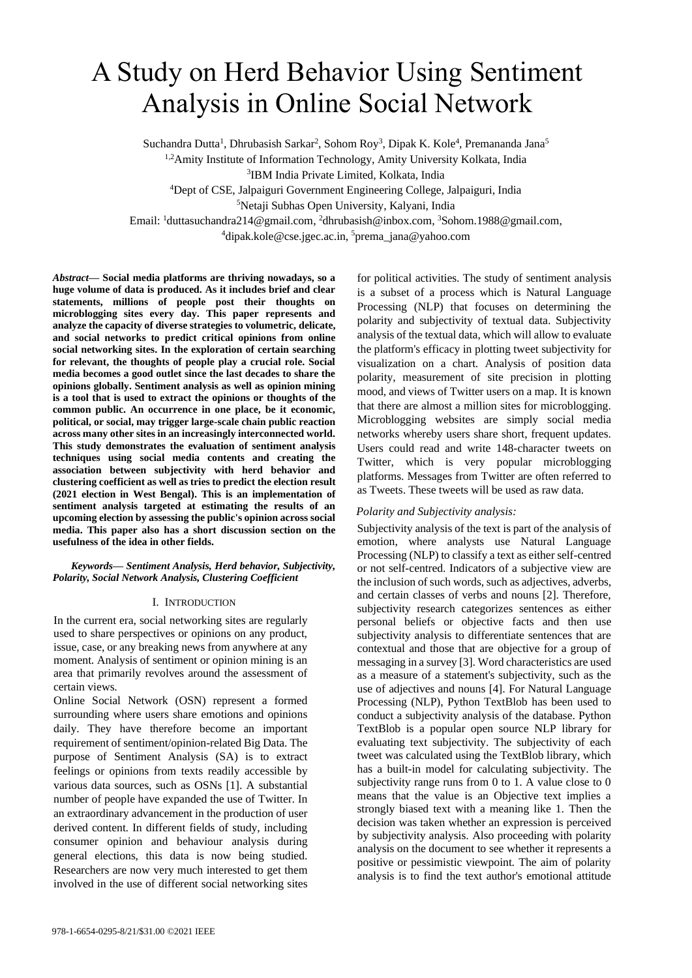# A Study on Herd Behavior Using Sentiment Analysis in Online Social Network

Suchandra Dutta<sup>1</sup>, Dhrubasish Sarkar<sup>2</sup>, Sohom Roy<sup>3</sup>, Dipak K. Kole<sup>4</sup>, Premananda Jana<sup>5</sup> 1,2Amity Institute of Information Technology, Amity University Kolkata, India

3 IBM India Private Limited, Kolkata, India

<sup>4</sup>Dept of CSE, Jalpaiguri Government Engineering College, Jalpaiguri, India

<sup>5</sup>Netaji Subhas Open University, Kalyani, India

Email: <sup>1</sup>[duttasuchandra214@gmail.com,](mailto:duttasuchandra214@gmail.com) <sup>2</sup>[dhrubasish@inbox.com,](mailto:dhrubasish@inbox.com) <sup>3</sup>[Sohom.1988@gmail.com,](mailto:Sohom.1988@gmail.com)

<sup>4</sup>[dipak.kole@cse.jgec.ac.in,](mailto:dipak.kole@cse.jgec.ac.in)  <sup>5</sup>prema\_jana@yahoo.com

*Abstract***— Social media platforms are thriving nowadays, so a huge volume of data is produced. As it includes brief and clear statements, millions of people post their thoughts on microblogging sites every day. This paper represents and analyze the capacity of diverse strategies to volumetric, delicate, and social networks to predict critical opinions from online social networking sites. In the exploration of certain searching for relevant, the thoughts of people play a crucial role. Social media becomes a good outlet since the last decades to share the opinions globally. Sentiment analysis as well as opinion mining is a tool that is used to extract the opinions or thoughts of the common public. An occurrence in one place, be it economic, political, or social, may trigger large-scale chain public reaction across many other sites in an increasingly interconnected world. This study demonstrates the evaluation of sentiment analysis techniques using social media contents and creating the association between subjectivity with herd behavior and clustering coefficient as well as tries to predict the election result (2021 election in West Bengal). This is an implementation of sentiment analysis targeted at estimating the results of an upcoming election by assessing the public's opinion across social media. This paper also has a short discussion section on the usefulness of the idea in other fields.**

## *Keywords— Sentiment Analysis, Herd behavior, Subjectivity, Polarity, Social Network Analysis, Clustering Coefficient*

# I. INTRODUCTION

In the current era, social networking sites are regularly used to share perspectives or opinions on any product, issue, case, or any breaking news from anywhere at any moment. Analysis of sentiment or opinion mining is an area that primarily revolves around the assessment of certain views.

Online Social Network (OSN) represent a formed surrounding where users share emotions and opinions daily. They have therefore become an important requirement of sentiment/opinion-related Big Data. The purpose of Sentiment Analysis (SA) is to extract feelings or opinions from texts readily accessible by various data sources, such as OSNs [1]. A substantial number of people have expanded the use of Twitter. In an extraordinary advancement in the production of user derived content. In different fields of study, including consumer opinion and behaviour analysis during general elections, this data is now being studied. Researchers are now very much interested to get them involved in the use of different social networking sites

for political activities. The study of sentiment analysis is a subset of a process which is Natural Language Processing (NLP) that focuses on determining the polarity and subjectivity of textual data. Subjectivity analysis of the textual data, which will allow to evaluate the platform's efficacy in plotting tweet subjectivity for visualization on a chart. Analysis of position data polarity, measurement of site precision in plotting mood, and views of Twitter users on a map. It is known that there are almost a million sites for microblogging. Microblogging websites are simply social media networks whereby users share short, frequent updates. Users could read and write 148-character tweets on Twitter, which is very popular microblogging platforms. Messages from Twitter are often referred to as Tweets. These tweets will be used as raw data.

# *Polarity and Subjectivity analysis:*

Subjectivity analysis of the text is part of the analysis of emotion, where analysts use Natural Language Processing (NLP) to classify a text as either self-centred or not self-centred. Indicators of a subjective view are the inclusion of such words, such as adjectives, adverbs, and certain classes of verbs and nouns [2]. Therefore, subjectivity research categorizes sentences as either personal beliefs or objective facts and then use subjectivity analysis to differentiate sentences that are contextual and those that are objective for a group of messaging in a survey [3]. Word characteristics are used as a measure of a statement's subjectivity, such as the use of adjectives and nouns [4]. For Natural Language Processing (NLP), Python TextBlob has been used to conduct a subjectivity analysis of the database. Python TextBlob is a popular open source NLP library for evaluating text subjectivity. The subjectivity of each tweet was calculated using the TextBlob library, which has a built-in model for calculating subjectivity. The subjectivity range runs from 0 to 1. A value close to 0 means that the value is an Objective text implies a strongly biased text with a meaning like 1. Then the decision was taken whether an expression is perceived by subjectivity analysis. Also proceeding with polarity analysis on the document to see whether it represents a positive or pessimistic viewpoint. The aim of polarity analysis is to find the text author's emotional attitude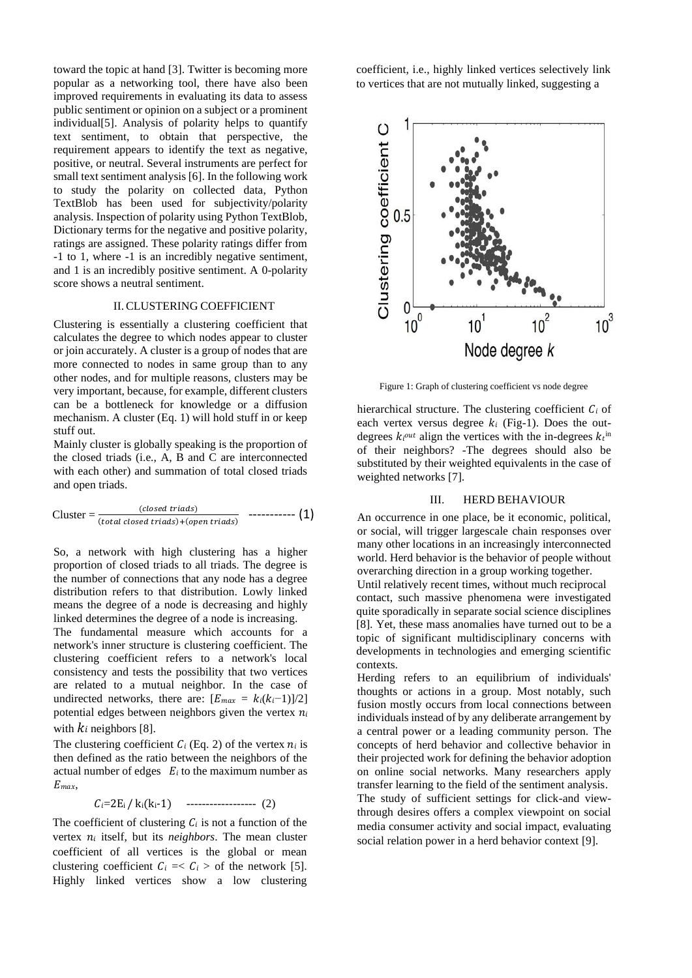toward the topic at hand [3]. Twitter is becoming more popular as a networking tool, there have also been improved requirements in evaluating its data to assess public sentiment or opinion on a subject or a prominent individual[5]. Analysis of polarity helps to quantify text sentiment, to obtain that perspective, the requirement appears to identify the text as negative, positive, or neutral. Several instruments are perfect for small text sentiment analysis [6]. In the following work to study the polarity on collected data, Python TextBlob has been used for subjectivity/polarity analysis. Inspection of polarity using Python TextBlob, Dictionary terms for the negative and positive polarity, ratings are assigned. These polarity ratings differ from -1 to 1, where -1 is an incredibly negative sentiment, and 1 is an incredibly positive sentiment. A 0-polarity score shows a neutral sentiment.

#### II.CLUSTERING COEFFICIENT

Clustering is essentially a clustering coefficient that calculates the degree to which nodes appear to cluster or join accurately. A cluster is a group of nodes that are more connected to nodes in same group than to any other nodes, and for multiple reasons, clusters may be very important, because, for example, different clusters can be a bottleneck for knowledge or a diffusion mechanism. A cluster (Eq. 1) will hold stuff in or keep stuff out.

Mainly cluster is globally speaking is the proportion of the closed triads (i.e., A, B and C are interconnected with each other) and summation of total closed triads and open triads.

Cluster = 
$$
\frac{(closed \, \,triangleright) }{(total \, \, closed \, \,triangleright) + (open \, \,triangleright) \quad \, \text{----- (1)}
$$

So, a network with high clustering has a higher proportion of closed triads to all triads. The degree is the number of connections that any node has a degree distribution refers to that distribution. Lowly linked means the degree of a node is decreasing and highly linked determines the degree of a node is increasing.

The fundamental measure which accounts for a network's inner structure is clustering coefficient. The clustering coefficient refers to a network's local consistency and tests the possibility that two vertices are related to a mutual neighbor. In the case of undirected networks, there are:  $[E_{max} = k_i(k_i-1)]/2]$ potential edges between neighbors given the vertex  $n_i$ with  $k_i$  neighbors [8].

The clustering coefficient  $C_i$  (Eq. 2) of the vertex  $n_i$  is then defined as the ratio between the neighbors of the actual number of edges  $E_i$  to the maximum number as  $E_{max}$ ,

 $C_i=2E_i / k_i(k_i-1)$  ------------------ (2)

The coefficient of clustering  $C_i$  is not a function of the vertex  $n_i$  itself, but its *neighbors*. The mean cluster coefficient of all vertices is the global or mean clustering coefficient  $C_i = \langle C_i \rangle$  of the network [5]. Highly linked vertices show a low clustering

coefficient, i.e., highly linked vertices selectively link to vertices that are not mutually linked, suggesting a



Figure 1: Graph of clustering coefficient vs node degree

hierarchical structure. The clustering coefficient  $C_i$  of each vertex versus degree  $k_i$  (Fig-1). Does the outdegrees  $k_i^{out}$  align the vertices with the in-degrees  $k_i^{in}$ of their neighbors? -The degrees should also be substituted by their weighted equivalents in the case of weighted networks [7].

#### III. HERD BEHAVIOUR

An occurrence in one place, be it economic, political, or social, will trigger largescale chain responses over many other locations in an increasingly interconnected world. Herd behavior is the behavior of people without overarching direction in a group working together.

Until relatively recent times, without much reciprocal contact, such massive phenomena were investigated quite sporadically in separate social science disciplines [8]. Yet, these mass anomalies have turned out to be a topic of significant multidisciplinary concerns with developments in technologies and emerging scientific contexts.

Herding refers to an equilibrium of individuals' thoughts or actions in a group. Most notably, such fusion mostly occurs from local connections between individuals instead of by any deliberate arrangement by a central power or a leading community person. The concepts of herd behavior and collective behavior in their projected work for defining the behavior adoption on online social networks. Many researchers apply transfer learning to the field of the sentiment analysis. The study of sufficient settings for click-and viewthrough desires offers a complex viewpoint on social media consumer activity and social impact, evaluating social relation power in a herd behavior context [9].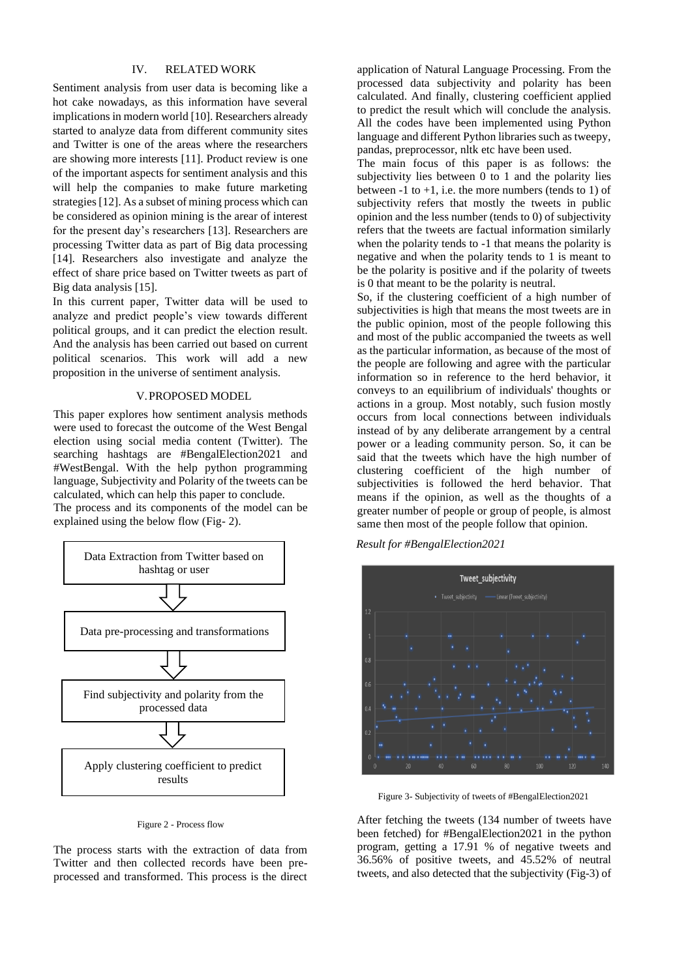# IV. RELATED WORK

Sentiment analysis from user data is becoming like a hot cake nowadays, as this information have several implications in modern world [10]. Researchers already started to analyze data from different community sites and Twitter is one of the areas where the researchers are showing more interests [11]. Product review is one of the important aspects for sentiment analysis and this will help the companies to make future marketing strategies[12]. As a subset of mining process which can be considered as opinion mining is the arear of interest for the present day's researchers [13]. Researchers are processing Twitter data as part of Big data processing [14]. Researchers also investigate and analyze the effect of share price based on Twitter tweets as part of Big data analysis [15].

In this current paper, Twitter data will be used to analyze and predict people's view towards different political groups, and it can predict the election result. And the analysis has been carried out based on current political scenarios. This work will add a new proposition in the universe of sentiment analysis.

#### V.PROPOSED MODEL

This paper explores how sentiment analysis methods were used to forecast the outcome of the West Bengal election using social media content (Twitter). The searching hashtags are #BengalElection2021 and #WestBengal. With the help python programming language, Subjectivity and Polarity of the tweets can be calculated, which can help this paper to conclude. The process and its components of the model can be explained using the below flow (Fig- 2).



Figure 2 - Process flow

The process starts with the extraction of data from Twitter and then collected records have been preprocessed and transformed. This process is the direct

application of Natural Language Processing. From the processed data subjectivity and polarity has been calculated. And finally, clustering coefficient applied to predict the result which will conclude the analysis. All the codes have been implemented using Python language and different Python libraries such as tweepy, pandas, preprocessor, nltk etc have been used.

The main focus of this paper is as follows: the subjectivity lies between 0 to 1 and the polarity lies between  $-1$  to  $+1$ , i.e. the more numbers (tends to 1) of subjectivity refers that mostly the tweets in public opinion and the less number (tends to 0) of subjectivity refers that the tweets are factual information similarly when the polarity tends to -1 that means the polarity is negative and when the polarity tends to 1 is meant to be the polarity is positive and if the polarity of tweets is 0 that meant to be the polarity is neutral.

So, if the clustering coefficient of a high number of subjectivities is high that means the most tweets are in the public opinion, most of the people following this and most of the public accompanied the tweets as well as the particular information, as because of the most of the people are following and agree with the particular information so in reference to the herd behavior, it conveys to an equilibrium of individuals' thoughts or actions in a group. Most notably, such fusion mostly occurs from local connections between individuals instead of by any deliberate arrangement by a central power or a leading community person. So, it can be said that the tweets which have the high number of clustering coefficient of the high number of subjectivities is followed the herd behavior. That means if the opinion, as well as the thoughts of a greater number of people or group of people, is almost same then most of the people follow that opinion.

*Result for #BengalElection2021*



Figure 3- Subjectivity of tweets of #BengalElection2021

After fetching the tweets (134 number of tweets have been fetched) for #BengalElection2021 in the python program, getting a 17.91 % of negative tweets and 36.56% of positive tweets, and 45.52% of neutral tweets, and also detected that the subjectivity (Fig-3) of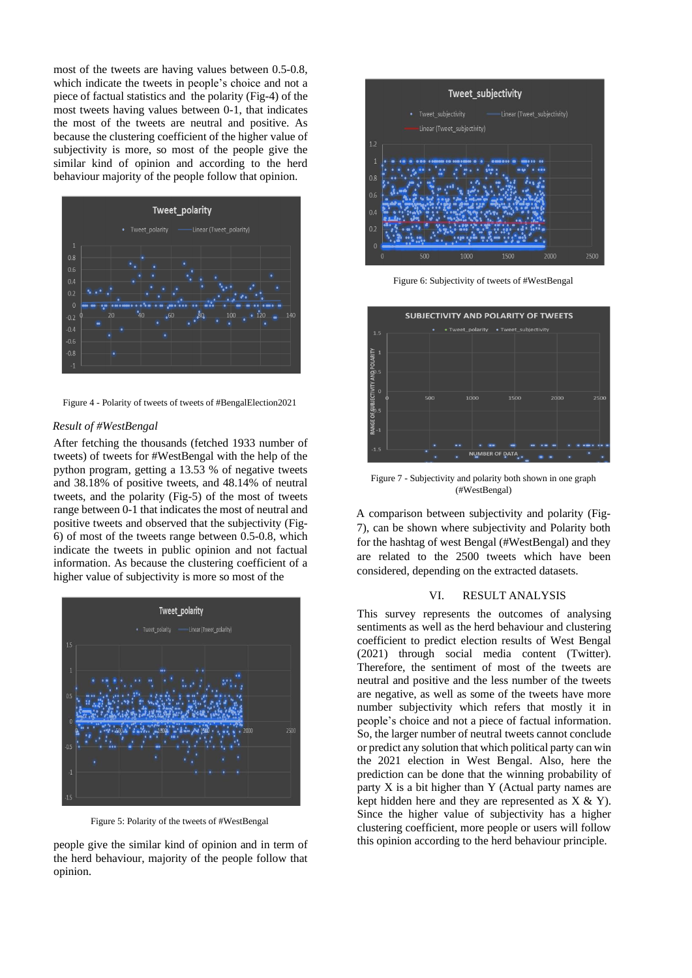most of the tweets are having values between 0.5-0.8, which indicate the tweets in people's choice and not a piece of factual statistics and the polarity (Fig-4) of the most tweets having values between 0-1, that indicates the most of the tweets are neutral and positive. As because the clustering coefficient of the higher value of subjectivity is more, so most of the people give the similar kind of opinion and according to the herd behaviour majority of the people follow that opinion.

![](_page_3_Figure_1.jpeg)

Figure 4 - Polarity of tweets of tweets of #BengalElection2021

## *Result of #WestBengal*

After fetching the thousands (fetched 1933 number of tweets) of tweets for #WestBengal with the help of the python program, getting a 13.53 % of negative tweets and 38.18% of positive tweets, and 48.14% of neutral tweets, and the polarity (Fig-5) of the most of tweets range between 0-1 that indicates the most of neutral and positive tweets and observed that the subjectivity (Fig-6) of most of the tweets range between 0.5-0.8, which indicate the tweets in public opinion and not factual information. As because the clustering coefficient of a higher value of subjectivity is more so most of the

![](_page_3_Figure_5.jpeg)

Figure 5: Polarity of the tweets of #WestBengal

people give the similar kind of opinion and in term of the herd behaviour, majority of the people follow that opinion.

![](_page_3_Figure_8.jpeg)

Figure 6: Subjectivity of tweets of #WestBengal

![](_page_3_Figure_10.jpeg)

Figure 7 - Subjectivity and polarity both shown in one graph (#WestBengal)

A comparison between subjectivity and polarity (Fig-7), can be shown where subjectivity and Polarity both for the hashtag of west Bengal (#WestBengal) and they are related to the 2500 tweets which have been considered, depending on the extracted datasets.

#### VI. RESULT ANALYSIS

This survey represents the outcomes of analysing sentiments as well as the herd behaviour and clustering coefficient to predict election results of West Bengal (2021) through social media content (Twitter). Therefore, the sentiment of most of the tweets are neutral and positive and the less number of the tweets are negative, as well as some of the tweets have more number subjectivity which refers that mostly it in people's choice and not a piece of factual information. So, the larger number of neutral tweets cannot conclude or predict any solution that which political party can win the 2021 election in West Bengal. Also, here the prediction can be done that the winning probability of party X is a bit higher than Y (Actual party names are kept hidden here and they are represented as  $X & Y$ ). Since the higher value of subjectivity has a higher clustering coefficient, more people or users will follow this opinion according to the herd behaviour principle.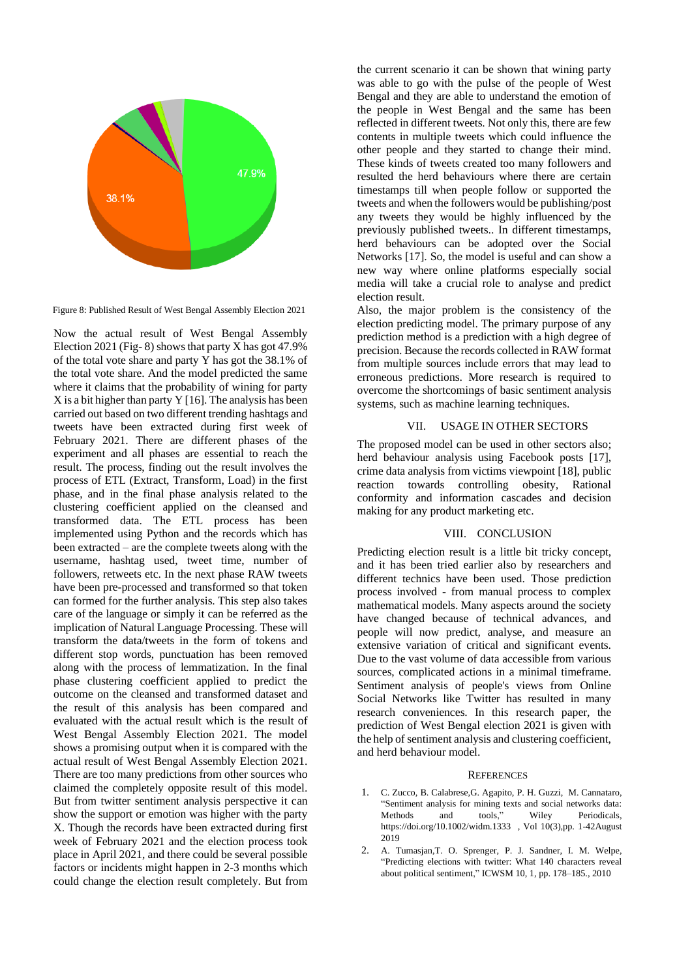![](_page_4_Figure_0.jpeg)

Figure 8: Published Result of West Bengal Assembly Election 2021

Now the actual result of West Bengal Assembly Election 2021 (Fig- 8) shows that party X has got 47.9% of the total vote share and party Y has got the 38.1% of the total vote share. And the model predicted the same where it claims that the probability of wining for party  $X$  is a bit higher than party  $Y$  [16]. The analysis has been carried out based on two different trending hashtags and tweets have been extracted during first week of February 2021. There are different phases of the experiment and all phases are essential to reach the result. The process, finding out the result involves the process of ETL (Extract, Transform, Load) in the first phase, and in the final phase analysis related to the clustering coefficient applied on the cleansed and transformed data. The ETL process has been implemented using Python and the records which has been extracted – are the complete tweets along with the username, hashtag used, tweet time, number of followers, retweets etc. In the next phase RAW tweets have been pre-processed and transformed so that token can formed for the further analysis. This step also takes care of the language or simply it can be referred as the implication of Natural Language Processing. These will transform the data/tweets in the form of tokens and different stop words, punctuation has been removed along with the process of lemmatization. In the final phase clustering coefficient applied to predict the outcome on the cleansed and transformed dataset and the result of this analysis has been compared and evaluated with the actual result which is the result of West Bengal Assembly Election 2021. The model shows a promising output when it is compared with the actual result of West Bengal Assembly Election 2021. There are too many predictions from other sources who claimed the completely opposite result of this model. But from twitter sentiment analysis perspective it can show the support or emotion was higher with the party X. Though the records have been extracted during first week of February 2021 and the election process took place in April 2021, and there could be several possible factors or incidents might happen in 2-3 months which could change the election result completely. But from

the current scenario it can be shown that wining party was able to go with the pulse of the people of West Bengal and they are able to understand the emotion of the people in West Bengal and the same has been reflected in different tweets. Not only this, there are few contents in multiple tweets which could influence the other people and they started to change their mind. These kinds of tweets created too many followers and resulted the herd behaviours where there are certain timestamps till when people follow or supported the tweets and when the followers would be publishing/post any tweets they would be highly influenced by the previously published tweets.. In different timestamps, herd behaviours can be adopted over the Social Networks [17]. So, the model is useful and can show a new way where online platforms especially social media will take a crucial role to analyse and predict election result.

Also, the major problem is the consistency of the election predicting model. The primary purpose of any prediction method is a prediction with a high degree of precision. Because the records collected in RAW format from multiple sources include errors that may lead to erroneous predictions. More research is required to overcome the shortcomings of basic sentiment analysis systems, such as machine learning techniques.

## VII. USAGE IN OTHER SECTORS

The proposed model can be used in other sectors also; herd behaviour analysis using Facebook posts [17], crime data analysis from victims viewpoint [18], public reaction towards controlling obesity, Rational conformity and information cascades and decision making for any product marketing etc.

### VIII. CONCLUSION

Predicting election result is a little bit tricky concept, and it has been tried earlier also by researchers and different technics have been used. Those prediction process involved - from manual process to complex mathematical models. Many aspects around the society have changed because of technical advances, and people will now predict, analyse, and measure an extensive variation of critical and significant events. Due to the vast volume of data accessible from various sources, complicated actions in a minimal timeframe. Sentiment analysis of people's views from Online Social Networks like Twitter has resulted in many research conveniences. In this research paper, the prediction of West Bengal election 2021 is given with the help of sentiment analysis and clustering coefficient, and herd behaviour model.

#### **REFERENCES**

- 1. C. Zucco, B. Calabrese,G. Agapito, P. H. Guzzi, M. Cannataro, "Sentiment analysis for mining texts and social networks data: Methods and tools," Wiley Periodicals, https://doi.org/10.1002/widm.1333 , Vol 10(3),pp. 1-42August 2019
- 2. A. Tumasjan,T. O. Sprenger, P. J. Sandner, I. M. Welpe, "Predicting elections with twitter: What 140 characters reveal about political sentiment," ICWSM 10, 1, pp. 178–185., 2010